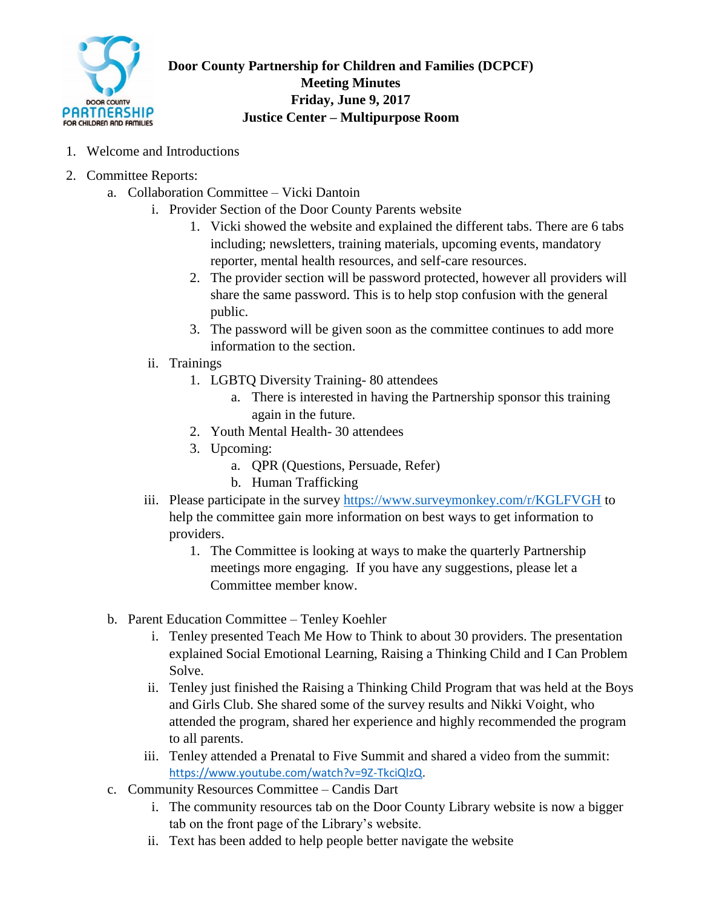

**Door County Partnership for Children and Families (DCPCF) Meeting Minutes Friday, June 9, 2017 Justice Center – Multipurpose Room**

- 1. Welcome and Introductions
- 2. Committee Reports:
	- a. Collaboration Committee Vicki Dantoin
		- i. Provider Section of the Door County Parents website
			- 1. Vicki showed the website and explained the different tabs. There are 6 tabs including; newsletters, training materials, upcoming events, mandatory reporter, mental health resources, and self-care resources.
			- 2. The provider section will be password protected, however all providers will share the same password. This is to help stop confusion with the general public.
			- 3. The password will be given soon as the committee continues to add more information to the section.
		- ii. Trainings
			- 1. LGBTQ Diversity Training- 80 attendees
				- a. There is interested in having the Partnership sponsor this training again in the future.
			- 2. Youth Mental Health- 30 attendees
			- 3. Upcoming:
				- a. QPR (Questions, Persuade, Refer)
				- b. Human Trafficking
		- iii. Please participate in the survey<https://www.surveymonkey.com/r/KGLFVGH> to help the committee gain more information on best ways to get information to providers.
			- 1. The Committee is looking at ways to make the quarterly Partnership meetings more engaging. If you have any suggestions, please let a Committee member know.
	- b. Parent Education Committee Tenley Koehler
		- i. Tenley presented Teach Me How to Think to about 30 providers. The presentation explained Social Emotional Learning, Raising a Thinking Child and I Can Problem Solve.
		- ii. Tenley just finished the Raising a Thinking Child Program that was held at the Boys and Girls Club. She shared some of the survey results and Nikki Voight, who attended the program, shared her experience and highly recommended the program to all parents.
		- iii. Tenley attended a Prenatal to Five Summit and shared a video from the summit: [https://www.youtube.com/watch?v=9Z-TkciQlzQ.](https://www.youtube.com/watch?v=9Z-TkciQlzQ)
	- c. Community Resources Committee Candis Dart
		- i. The community resources tab on the Door County Library website is now a bigger tab on the front page of the Library's website.
		- ii. Text has been added to help people better navigate the website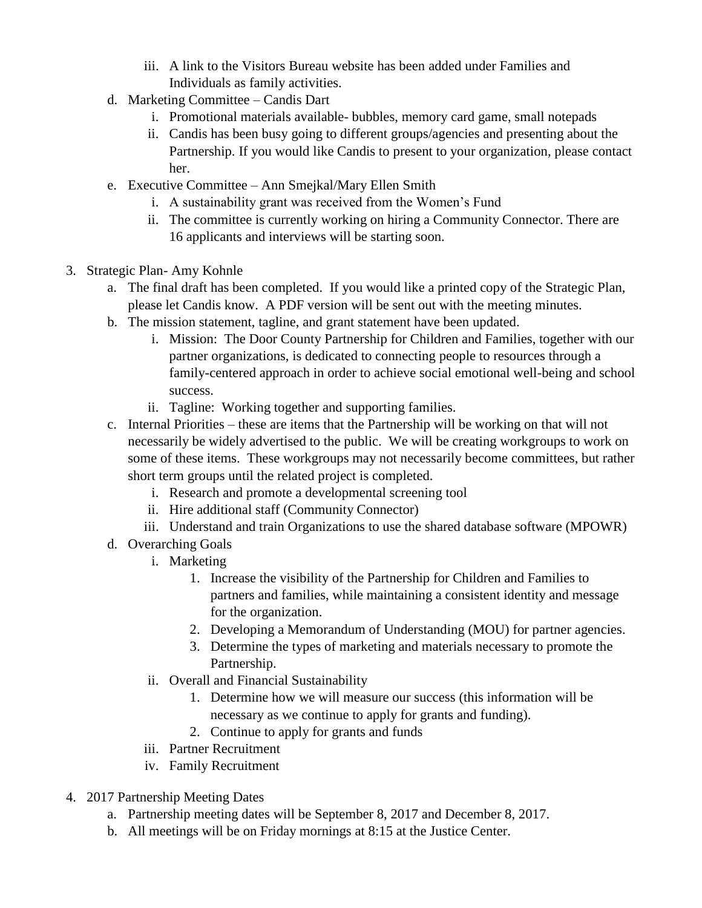- iii. A link to the Visitors Bureau website has been added under Families and Individuals as family activities.
- d. Marketing Committee Candis Dart
	- i. Promotional materials available- bubbles, memory card game, small notepads
	- ii. Candis has been busy going to different groups/agencies and presenting about the Partnership. If you would like Candis to present to your organization, please contact her.
- e. Executive Committee Ann Smejkal/Mary Ellen Smith
	- i. A sustainability grant was received from the Women's Fund
	- ii. The committee is currently working on hiring a Community Connector. There are 16 applicants and interviews will be starting soon.
- 3. Strategic Plan- Amy Kohnle
	- a. The final draft has been completed. If you would like a printed copy of the Strategic Plan, please let Candis know. A PDF version will be sent out with the meeting minutes.
	- b. The mission statement, tagline, and grant statement have been updated.
		- i. Mission: The Door County Partnership for Children and Families, together with our partner organizations, is dedicated to connecting people to resources through a family-centered approach in order to achieve social emotional well-being and school success.
		- ii. Tagline: Working together and supporting families.
	- c. Internal Priorities these are items that the Partnership will be working on that will not necessarily be widely advertised to the public. We will be creating workgroups to work on some of these items. These workgroups may not necessarily become committees, but rather short term groups until the related project is completed.
		- i. Research and promote a developmental screening tool
		- ii. Hire additional staff (Community Connector)
		- iii. Understand and train Organizations to use the shared database software (MPOWR)
	- d. Overarching Goals
		- i. Marketing
			- 1. Increase the visibility of the Partnership for Children and Families to partners and families, while maintaining a consistent identity and message for the organization.
			- 2. Developing a Memorandum of Understanding (MOU) for partner agencies.
			- 3. Determine the types of marketing and materials necessary to promote the Partnership.
		- ii. Overall and Financial Sustainability
			- 1. Determine how we will measure our success (this information will be necessary as we continue to apply for grants and funding).
			- 2. Continue to apply for grants and funds
		- iii. Partner Recruitment
		- iv. Family Recruitment
- 4. 2017 Partnership Meeting Dates
	- a. Partnership meeting dates will be September 8, 2017 and December 8, 2017.
	- b. All meetings will be on Friday mornings at 8:15 at the Justice Center.